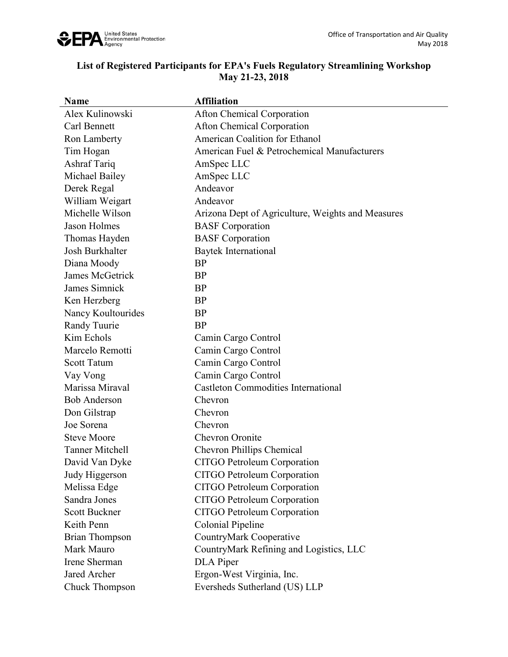

## **List of Registered Participants for EPA's Fuels Regulatory Streamlining Workshop May 21-23, 2018**

| <b>Name</b>            | <b>Affiliation</b>                                |
|------------------------|---------------------------------------------------|
| Alex Kulinowski        | <b>Afton Chemical Corporation</b>                 |
| Carl Bennett           | <b>Afton Chemical Corporation</b>                 |
| Ron Lamberty           | American Coalition for Ethanol                    |
| Tim Hogan              | American Fuel & Petrochemical Manufacturers       |
| Ashraf Tariq           | AmSpec LLC                                        |
| Michael Bailey         | AmSpec LLC                                        |
| Derek Regal            | Andeavor                                          |
| William Weigart        | Andeavor                                          |
| Michelle Wilson        | Arizona Dept of Agriculture, Weights and Measures |
| Jason Holmes           | <b>BASF</b> Corporation                           |
| Thomas Hayden          | <b>BASF</b> Corporation                           |
| Josh Burkhalter        | Baytek International                              |
| Diana Moody            | <b>BP</b>                                         |
| James McGetrick        | BP                                                |
| James Simnick          | <b>BP</b>                                         |
| Ken Herzberg           | <b>BP</b>                                         |
| Nancy Koultourides     | <b>BP</b>                                         |
| Randy Tuurie           | <b>BP</b>                                         |
| Kim Echols             | Camin Cargo Control                               |
| Marcelo Remotti        | Camin Cargo Control                               |
| <b>Scott Tatum</b>     | Camin Cargo Control                               |
| Vay Vong               | Camin Cargo Control                               |
| Marissa Miraval        | <b>Castleton Commodities International</b>        |
| <b>Bob Anderson</b>    | Chevron                                           |
| Don Gilstrap           | Chevron                                           |
| Joe Sorena             | Chevron                                           |
| <b>Steve Moore</b>     | <b>Chevron Oronite</b>                            |
| <b>Tanner Mitchell</b> | Chevron Phillips Chemical                         |
| David Van Dyke         | <b>CITGO Petroleum Corporation</b>                |
| Judy Higgerson         | <b>CITGO Petroleum Corporation</b>                |
| Melissa Edge           | <b>CITGO Petroleum Corporation</b>                |
| Sandra Jones           | CITGO Petroleum Corporation                       |
| <b>Scott Buckner</b>   | <b>CITGO Petroleum Corporation</b>                |
| Keith Penn             | Colonial Pipeline                                 |
| <b>Brian Thompson</b>  | CountryMark Cooperative                           |
| Mark Mauro             | CountryMark Refining and Logistics, LLC           |
| Irene Sherman          | DLA Piper                                         |
| Jared Archer           | Ergon-West Virginia, Inc.                         |
| <b>Chuck Thompson</b>  | Eversheds Sutherland (US) LLP                     |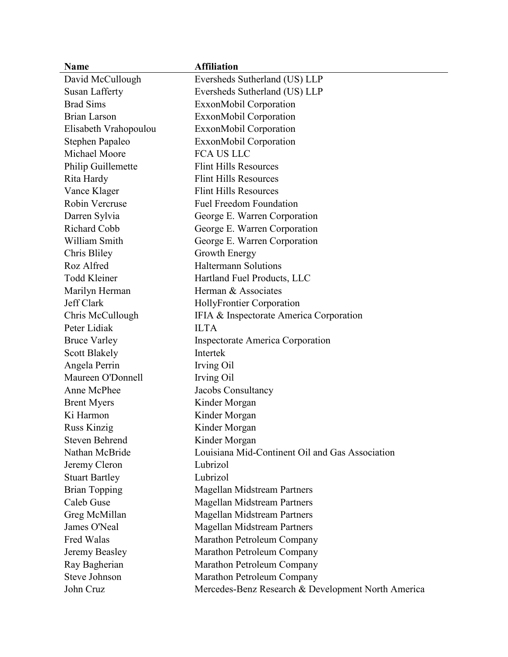| <b>Name</b>           | <b>Affiliation</b>                                 |
|-----------------------|----------------------------------------------------|
| David McCullough      | Eversheds Sutherland (US) LLP                      |
| <b>Susan Lafferty</b> | Eversheds Sutherland (US) LLP                      |
| <b>Brad Sims</b>      | ExxonMobil Corporation                             |
| <b>Brian Larson</b>   | ExxonMobil Corporation                             |
| Elisabeth Vrahopoulou | ExxonMobil Corporation                             |
| Stephen Papaleo       | ExxonMobil Corporation                             |
| Michael Moore         | <b>FCA US LLC</b>                                  |
| Philip Guillemette    | <b>Flint Hills Resources</b>                       |
| Rita Hardy            | <b>Flint Hills Resources</b>                       |
| Vance Klager          | <b>Flint Hills Resources</b>                       |
| Robin Vercruse        | <b>Fuel Freedom Foundation</b>                     |
| Darren Sylvia         | George E. Warren Corporation                       |
| Richard Cobb          | George E. Warren Corporation                       |
| William Smith         | George E. Warren Corporation                       |
| Chris Bliley          | Growth Energy                                      |
| Roz Alfred            | <b>Haltermann Solutions</b>                        |
| <b>Todd Kleiner</b>   | Hartland Fuel Products, LLC                        |
| Marilyn Herman        | Herman & Associates                                |
| Jeff Clark            | HollyFrontier Corporation                          |
| Chris McCullough      | IFIA & Inspectorate America Corporation            |
| Peter Lidiak          | <b>ILTA</b>                                        |
| <b>Bruce Varley</b>   | <b>Inspectorate America Corporation</b>            |
| <b>Scott Blakely</b>  | Intertek                                           |
| Angela Perrin         | Irving Oil                                         |
| Maureen O'Donnell     | Irving Oil                                         |
| Anne McPhee           | Jacobs Consultancy                                 |
| <b>Brent Myers</b>    | Kinder Morgan                                      |
| Ki Harmon             | Kinder Morgan                                      |
| <b>Russ Kinzig</b>    | Kinder Morgan                                      |
| <b>Steven Behrend</b> | Kinder Morgan                                      |
| Nathan McBride        | Louisiana Mid-Continent Oil and Gas Association    |
| Jeremy Cleron         | Lubrizol                                           |
| <b>Stuart Bartley</b> | Lubrizol                                           |
| <b>Brian Topping</b>  | Magellan Midstream Partners                        |
| Caleb Guse            | <b>Magellan Midstream Partners</b>                 |
| Greg McMillan         | <b>Magellan Midstream Partners</b>                 |
| James O'Neal          | Magellan Midstream Partners                        |
| Fred Walas            | Marathon Petroleum Company                         |
| Jeremy Beasley        | Marathon Petroleum Company                         |
| Ray Bagherian         | Marathon Petroleum Company                         |
| Steve Johnson         | Marathon Petroleum Company                         |
| John Cruz             | Mercedes-Benz Research & Development North America |